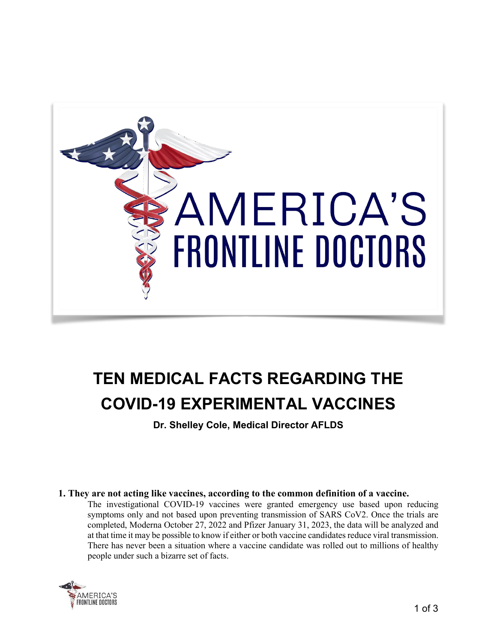

# **TEN MEDICAL FACTS REGARDING THE COVID-19 EXPERIMENTAL VACCINES**

**Dr. Shelley Cole, Medical Director AFLDS**

# **1. They are not acting like vaccines, according to the common definition of a vaccine.**

The investigational COVID-19 vaccines were granted emergency use based upon reducing symptoms only and not based upon preventing transmission of SARS CoV2. Once the trials are completed, Moderna October 27, 2022 and Pfizer January 31, 2023, the data will be analyzed and at that time it may be possible to know if either or both vaccine candidates reduce viral transmission. There has never been a situation where a vaccine candidate was rolled out to millions of healthy people under such a bizarre set of facts.

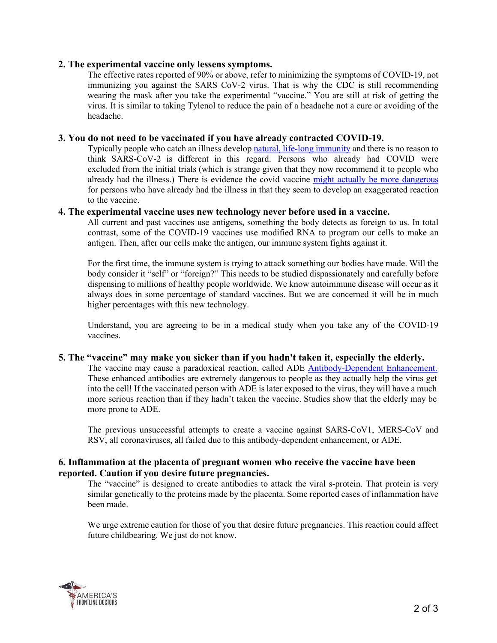## **2. The experimental vaccine only lessens symptoms.**

The effective rates reported of 90% or above, refer to minimizing the symptoms of COVID-19, not immunizing you against the SARS CoV-2 virus. That is why the CDC is still recommending wearing the mask after you take the experimental "vaccine." You are still at risk of getting the virus. It is similar to taking Tylenol to reduce the pain of a headache not a cure or avoiding of the headache.

## **3. You do not need to be vaccinated if you have already contracted COVID-19.**

Typically people who catch an illness develop natural, life-long [immunity](https://pubmed.ncbi.nlm.nih.gov/33408181/) and there is no reason to think SARS-CoV-2 is different in this regard. Persons who already had COVID were excluded from the initial trials (which is strange given that they now recommend it to people who already had the illness.) There is evidence the covid vaccine might actually be more [dangerous](https://www.medrxiv.org/content/10.1101/2021.01.29.21250653v1.full.pdf) for persons who have already had the illness in that they seem to develop an exaggerated reaction to the vaccine.

#### **4. The experimental vaccine uses new technology never before used in a vaccine.**

All current and past vaccines use antigens, something the body detects as foreign to us. In total contrast, some of the COVID-19 vaccines use modified RNA to program our cells to make an antigen. Then, after our cells make the antigen, our immune system fights against it.

For the first time, the immune system is trying to attack something our bodies have made. Will the body consider it "self" or "foreign?" This needs to be studied dispassionately and carefully before dispensing to millions of healthy people worldwide. We know autoimmune disease will occur as it always does in some percentage of standard vaccines. But we are concerned it will be in much higher percentages with this new technology.

Understand, you are agreeing to be in a medical study when you take any of the COVID-19 vaccines.

#### **5. The "vaccine" may make you sicker than if you hadn't taken it, especially the elderly.**

The vaccine may cause a paradoxical reaction, called ADE [Antibody-Dependent](https://www.medrxiv.org/content/10.1101/2020.03.30.20047365v1.full.pdf) Enhancement. These enhanced antibodies are extremely dangerous to people as they actually help the virus get into the cell! If the vaccinated person with ADE is later exposed to the virus, they will have a much more serious reaction than if they hadn't taken the vaccine. Studies show that the elderly may be more prone to ADE.

The previous unsuccessful attempts to create a vaccine against SARS-CoV1, MERS-CoV and RSV, all coronaviruses, all failed due to this antibody-dependent enhancement, or ADE.

## **6. Inflammation at the placenta of pregnant women who receive the vaccine have been reported. Caution if you desire future pregnancies.**

The "vaccine" is designed to create antibodies to attack the viral s-protein. That protein is very similar genetically to the proteins made by the placenta. Some reported cases of inflammation have been made.

We urge extreme caution for those of you that desire future pregnancies. This reaction could affect future childbearing. We just do not know.